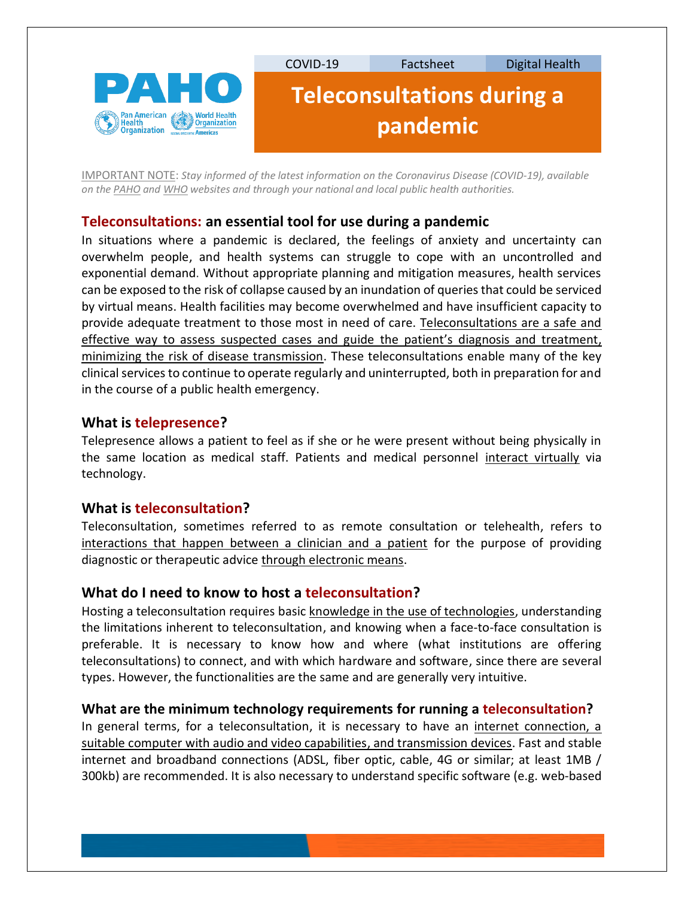

IMPORTANT NOTE: *Stay informed of the latest information on the Coronavirus Disease (COVID-19), available on the [PAHO](https://www.paho.org/hq/index.php?lang=es) an[d WHO](https://www.who.int/emergencies/diseases/novel-coronavirus-2019/advice-for-public) websites and through your national and local public health authorities.*

# **Teleconsultations: an essential tool for use during a pandemic**

In situations where a pandemic is declared, the feelings of anxiety and uncertainty can overwhelm people, and health systems can struggle to cope with an uncontrolled and exponential demand. Without appropriate planning and mitigation measures, health services can be exposed to the risk of collapse caused by an inundation of queries that could be serviced by virtual means. Health facilities may become overwhelmed and have insufficient capacity to provide adequate treatment to those most in need of care. Teleconsultations are a safe and effective way to assess suspected cases and guide the patient's diagnosis and treatment, minimizing the risk of disease transmission. These teleconsultations enable many of the key clinical services to continue to operate regularly and uninterrupted, both in preparation for and in the course of a public health emergency.

### **What is telepresence?**

Telepresence allows a patient to feel as if she or he were present without being physically in the same location as medical staff. Patients and medical personnel interact virtually via technology.

### **What is teleconsultation?**

Teleconsultation, sometimes referred to as remote consultation or telehealth, refers to interactions that happen between a clinician and a patient for the purpose of providing diagnostic or therapeutic advice through electronic means.

# **What do I need to know to host a teleconsultation?**

Hosting a teleconsultation requires basic knowledge in the use of technologies, understanding the limitations inherent to teleconsultation, and knowing when a face-to-face consultation is preferable. It is necessary to know how and where (what institutions are offering teleconsultations) to connect, and with which hardware and software, since there are several types. However, the functionalities are the same and are generally very intuitive.

### **What are the minimum technology requirements for running a teleconsultation?**

In general terms, for a teleconsultation, it is necessary to have an internet connection, a suitable computer with audio and video capabilities, and transmission devices. Fast and stable internet and broadband connections (ADSL, fiber optic, cable, 4G or similar; at least 1MB / 300kb) are recommended. It is also necessary to understand specific software (e.g. web-based